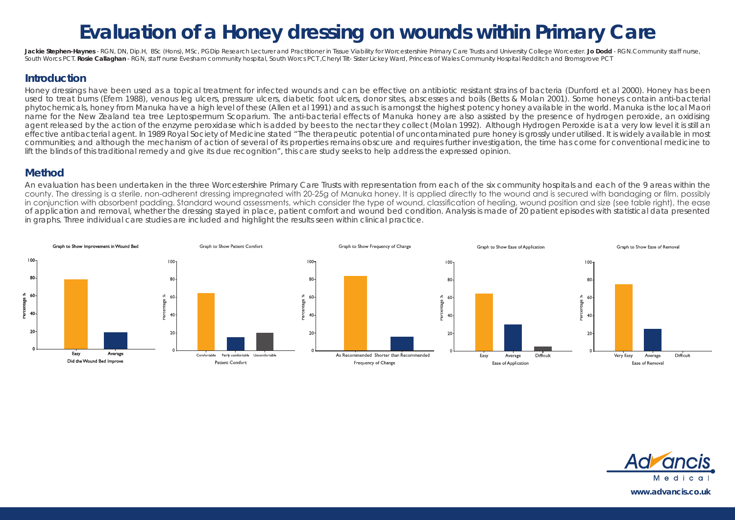# **Evaluation of a Honey dressing on wounds within Primary Care**

Jackie Stephen-Haynes - RGN, DN, Dip.H. BSc (Hons), MSc, PGDip Research Lecturer and Practitioner in Tissue Viability for Worcestershire Primary Care Trusts and University College Worcester, Jo Dodd - RGN, Community staff South Worcs PCT. Rosie Callaghan - RGN, staff nurse Evesham community hospital, South Worcs PCT ,Cheryl Tilt- Sister Lickey Ward, Princess of Wales Community Hospital Redditch and Bromsgrove PCT

#### **Introduction**

Honey dressings have been used as a topical treatment for infected wounds and can be effective on antibiotic resistant strains of bacteria (Dunford et al 2000). Honey has been used to treat burns (Efem 1988), venous leg ulcers, pressure ulcers, diabetic foot ulcers, donor sites, abscesses and boils (Betts & Molan 2001). Some honeys contain anti-bacterial phytochemicals, honey from Manuka have a high level of these (Allen et al 1991) and as such is amongst the highest potency honey available in the world. Manuka is the local Maori name for the New Zealand tea tree Leptospermum Scoparium. The anti-bacterial effects of Manuka honey are also assisted by the presence of hydrogen peroxide, an oxidising agent released by the action of the enzyme peroxidase which is added by bees to the nectar they collect (Molan 1992). Although Hydrogen Peroxide is at a very low level it is still an effective antibacterial agent. In 1989 Royal Society of Medicine stated "The therapeutic potential of uncontaminated pure honey is grossly under utilised. It is widely available in most communities; and although the mechanism of action of several of its properties remains obscure and requires further investigation, the time has come for conventional medicine to lift the blinds of this traditional remedy and give its due recognition", this care study seeks to help address the expressed opinion.

### **Method**

An evaluation has been undertaken in the three Worcestershire Primary Care Trusts with representation from each of the six community hospitals and each of the 9 areas within the county. The dressing is a sterile, non-adherent dressing impregnated with 20-25g of Manuka honey. It is applied directly to the wound and is secured with bandaging or film, possibly in conjunction with absorbent padding. Standard wound assessments, which consider the type of wound, classification of healing, wound position and size (see table right), the ease of application and removal, whether the dressing stayed in place, patient comfort and wound bed condition. Analysis is made of 20 patient episodes with statistical data presented in graphs. Three individual care studies are included and highlight the results seen within clinical practice.



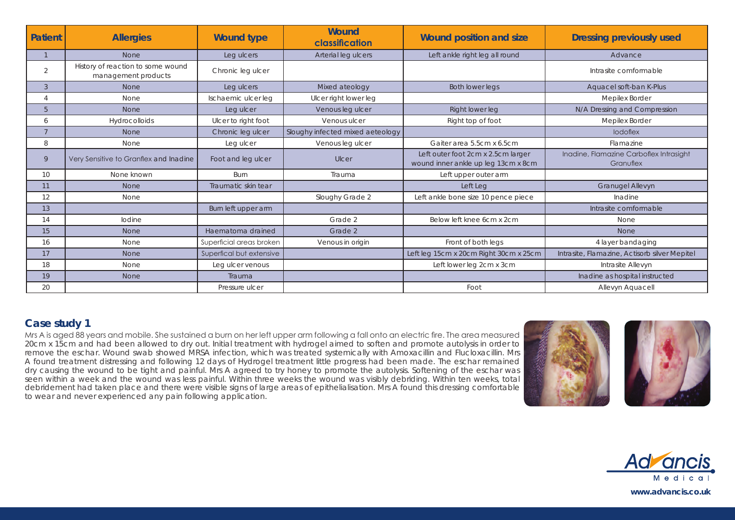| <b>Patient</b>  | <b>Allergies</b>                                         | <b>Wound type</b>        | <b>Wound</b><br>classification   | <b>Wound position and size</b>                                            | <b>Dressing previously used</b>                      |
|-----------------|----------------------------------------------------------|--------------------------|----------------------------------|---------------------------------------------------------------------------|------------------------------------------------------|
|                 | None                                                     | Leg ulcers               | Arterial leg ulcers              | Left ankle right leg all round                                            | Advance                                              |
| $\overline{2}$  | History of reaction to some wound<br>management products | Chronic leg ulcer        |                                  |                                                                           | Intrasite comformable                                |
| 3               | <b>None</b>                                              | Leg ulcers               | Mixed ateology                   | <b>Both lower legs</b>                                                    | Aquacel soft-ban K-Plus                              |
| $\overline{A}$  | None                                                     | Ischaemic ulcer leg      | Ulcer right lower leg            |                                                                           | Mepilex Border                                       |
| 5               | <b>None</b>                                              | Leg ulcer                | Venous leg ulcer                 | Right lower leg                                                           | N/A Dressing and Compression                         |
| 6               | Hydrocolloids                                            | Ulcer to right foot      | Venous ulcer                     | Right top of foot                                                         | Mepilex Border                                       |
| $\overline{7}$  | <b>None</b>                                              | Chronic leg ulcer        | Sloughy infected mixed aeteology |                                                                           | <b>lodoflex</b>                                      |
| 8               | None                                                     | Leg ulcer                | Venous leg ulcer                 | Gaiter area 5.5cm x 6.5cm                                                 | Flamazine                                            |
| 9               | Very Sensitive to Granflex and Inadine                   | Foot and leg ulcer       | Ulcer                            | Left outer foot 2cm x 2.5cm larger<br>wound inner ankle up leg 13cm x 8cm | Inadine, Flamazine Carboflex Intrasight<br>Granuflex |
| 10 <sup>°</sup> | None known                                               | Burn                     | Trauma                           | Left upper outer arm                                                      |                                                      |
| 11              | <b>None</b>                                              | Traumatic skin tear      |                                  | Left Leg                                                                  | Granugel Allevyn                                     |
| 12              | None                                                     |                          | Sloughy Grade 2                  | Left ankle bone size 10 pence piece                                       | Inadine                                              |
| 13              |                                                          | Burn left upper arm      |                                  |                                                                           | Intrasite comformable                                |
| 14              | lodine                                                   |                          | Grade 2                          | Below left knee 6cm x 2cm                                                 | None                                                 |
| 15              | None                                                     | Haematoma drained        | Grade 2                          |                                                                           | None                                                 |
| 16              | None                                                     | Superficial areas broken | Venous in origin                 | Front of both legs                                                        | 4 layer bandaging                                    |
| 17              | None                                                     | Superfical but extensive |                                  | Left leg 15cm x 20cm Right 30cm x 25cm                                    | Intrasite, Flamazine, Actisorb silver Mepitel        |
| 18              | None                                                     | Leg ulcer venous         |                                  | Left lower leg 2cm x 3cm                                                  | Intrasite Allevyn                                    |
| 19              | None                                                     | Trauma                   |                                  |                                                                           | Inadine as hospital instructed                       |
| 20              |                                                          | Pressure ulcer           |                                  | Foot                                                                      | Allevyn Aquacell                                     |

## **Case study 1**

Mrs A is aged 88 years and mobile. She sustained a burn on her left upper arm following a fall onto an electric fire. The area measured 20cm x 15cm and had been allowed to dry out. Initial treatment with hydrogel aimed to soften and promote autolysis in order to remove the eschar. Wound swab showed MRSA infection, which was treated systemically with Amoxacillin and Flucloxacillin. Mrs A found treatment distressing and following 12 days of Hydrogel treatment little progress had been made. The eschar remained dry causing the wound to be tight and painful. Mrs A agreed to try honey to promote the autolysis. Softening of the eschar was seen within a week and the wound was less painful. Within three weeks the wound was visibly debriding. Within ten weeks, total debridement had taken place and there were visible signs of large areas of epithelialisation. Mrs A found this dressing comfortable to wear and never experienced any pain following application.